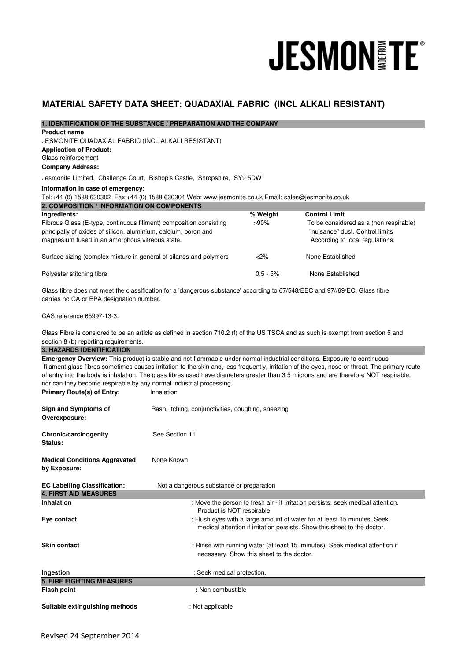# **JESMON FE®**

# **MATERIAL SAFETY DATA SHEET: QUADAXIAL FABRIC (INCL ALKALI RESISTANT)**

| 1. IDENTIFICATION OF THE SUBSTANCE / PREPARATION AND THE COMPANY                                                                                                                                                                                                                                                                                                                                                                                                                                                                            |                                                    |                                           |                                                                                                              |  |
|---------------------------------------------------------------------------------------------------------------------------------------------------------------------------------------------------------------------------------------------------------------------------------------------------------------------------------------------------------------------------------------------------------------------------------------------------------------------------------------------------------------------------------------------|----------------------------------------------------|-------------------------------------------|--------------------------------------------------------------------------------------------------------------|--|
| <b>Product name</b><br>JESMONITE QUADAXIAL FABRIC (INCL ALKALI RESISTANT)                                                                                                                                                                                                                                                                                                                                                                                                                                                                   |                                                    |                                           |                                                                                                              |  |
| <b>Application of Product:</b>                                                                                                                                                                                                                                                                                                                                                                                                                                                                                                              |                                                    |                                           |                                                                                                              |  |
| Glass reinforcement<br><b>Company Address:</b>                                                                                                                                                                                                                                                                                                                                                                                                                                                                                              |                                                    |                                           |                                                                                                              |  |
| Jesmonite Limited. Challenge Court, Bishop's Castle, Shropshire, SY9 5DW                                                                                                                                                                                                                                                                                                                                                                                                                                                                    |                                                    |                                           |                                                                                                              |  |
| Information in case of emergency:                                                                                                                                                                                                                                                                                                                                                                                                                                                                                                           |                                                    |                                           |                                                                                                              |  |
| Tel:+44 (0) 1588 630302 Fax:+44 (0) 1588 630304 Web: www.jesmonite.co.uk Email: sales@jesmonite.co.uk<br>2. COMPOSITION / INFORMATION ON COMPONENTS                                                                                                                                                                                                                                                                                                                                                                                         |                                                    |                                           |                                                                                                              |  |
| Ingredients:                                                                                                                                                                                                                                                                                                                                                                                                                                                                                                                                |                                                    | % Weight                                  | <b>Control Limit</b>                                                                                         |  |
| Fibrous Glass (E-type, continuous filiment) composition consisting<br>principally of oxides of silicon, aluminium, calcium, boron and<br>magnesium fused in an amorphous vitreous state.                                                                                                                                                                                                                                                                                                                                                    |                                                    | $>90\%$                                   | To be considered as a (non respirable)<br>"nuisance" dust. Control limits<br>According to local regulations. |  |
| Surface sizing (complex mixture in general of silanes and polymers                                                                                                                                                                                                                                                                                                                                                                                                                                                                          |                                                    | <2%                                       | None Established                                                                                             |  |
| Polyester stitching fibre                                                                                                                                                                                                                                                                                                                                                                                                                                                                                                                   |                                                    | $0.5 - 5%$                                | None Established                                                                                             |  |
| Glass fibre does not meet the classification for a 'dangerous substance' according to 67/548/EEC and 97//69/EC. Glass fibre<br>carries no CA or EPA designation number.                                                                                                                                                                                                                                                                                                                                                                     |                                                    |                                           |                                                                                                              |  |
| CAS reference 65997-13-3.                                                                                                                                                                                                                                                                                                                                                                                                                                                                                                                   |                                                    |                                           |                                                                                                              |  |
| Glass Fibre is considred to be an article as defined in section 710.2 (f) of the US TSCA and as such is exempt from section 5 and<br>section 8 (b) reporting requirements.<br><b>3. HAZARDS IDENTIFICATION</b>                                                                                                                                                                                                                                                                                                                              |                                                    |                                           |                                                                                                              |  |
| Emergency Overview: This product is stable and not flammable under normal industrial conditions. Exposure to continuous<br>filament glass fibres sometimes causes irritation to the skin and, less frequently, irritation of the eyes, nose or throat. The primary route<br>of entry into the body is inhalation. The glass fibres used have diameters greater than 3.5 microns and are therefore NOT respirable,<br>nor can they become respirable by any normal industrial processing.<br><b>Primary Route(s) of Entry:</b><br>Inhalation |                                                    |                                           |                                                                                                              |  |
| <b>Sign and Symptoms of</b><br>Overexposure:                                                                                                                                                                                                                                                                                                                                                                                                                                                                                                | Rash, itching, conjunctivities, coughing, sneezing |                                           |                                                                                                              |  |
| Chronic/carcinogenity<br>Status:                                                                                                                                                                                                                                                                                                                                                                                                                                                                                                            | See Section 11                                     |                                           |                                                                                                              |  |
| <b>Medical Conditions Aggravated</b><br>by Exposure:                                                                                                                                                                                                                                                                                                                                                                                                                                                                                        | None Known                                         |                                           |                                                                                                              |  |
| <b>EC Labelling Classification:</b><br><b>4. FIRST AID MEASURES</b>                                                                                                                                                                                                                                                                                                                                                                                                                                                                         | Not a dangerous substance or preparation           |                                           |                                                                                                              |  |
| <b>Inhalation</b>                                                                                                                                                                                                                                                                                                                                                                                                                                                                                                                           |                                                    |                                           | : Move the person to fresh air - if irritation persists, seek medical attention.                             |  |
| Eye contact                                                                                                                                                                                                                                                                                                                                                                                                                                                                                                                                 | Product is NOT respirable                          |                                           | : Flush eyes with a large amount of water for at least 15 minutes. Seek                                      |  |
|                                                                                                                                                                                                                                                                                                                                                                                                                                                                                                                                             |                                                    |                                           | medical attention if irritation persists. Show this sheet to the doctor.                                     |  |
| <b>Skin contact</b>                                                                                                                                                                                                                                                                                                                                                                                                                                                                                                                         |                                                    | necessary. Show this sheet to the doctor. | : Rinse with running water (at least 15 minutes). Seek medical attention if                                  |  |
| Ingestion                                                                                                                                                                                                                                                                                                                                                                                                                                                                                                                                   | : Seek medical protection.                         |                                           |                                                                                                              |  |
| <b>5. FIRE FIGHTING MEASURES</b><br><b>Flash point</b>                                                                                                                                                                                                                                                                                                                                                                                                                                                                                      | : Non combustible                                  |                                           |                                                                                                              |  |
|                                                                                                                                                                                                                                                                                                                                                                                                                                                                                                                                             |                                                    |                                           |                                                                                                              |  |
| Suitable extinguishing methods                                                                                                                                                                                                                                                                                                                                                                                                                                                                                                              | : Not applicable                                   |                                           |                                                                                                              |  |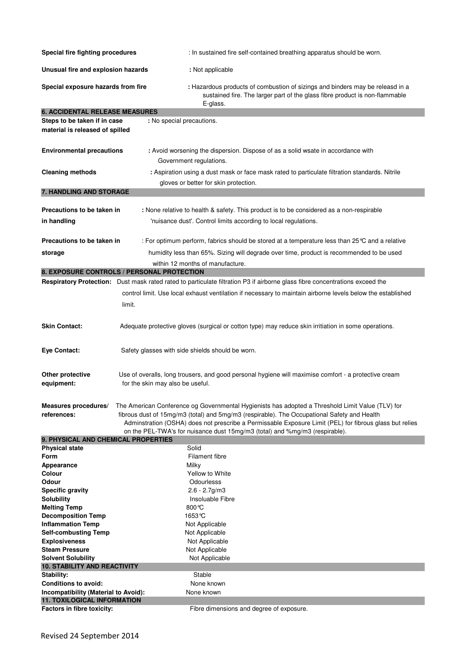| Special fire fighting procedures                                           |                                                                                                                                                                                                                                                                                                                                                                                           | : In sustained fire self-contained breathing apparatus should be worn.                                                                                                   |  |  |
|----------------------------------------------------------------------------|-------------------------------------------------------------------------------------------------------------------------------------------------------------------------------------------------------------------------------------------------------------------------------------------------------------------------------------------------------------------------------------------|--------------------------------------------------------------------------------------------------------------------------------------------------------------------------|--|--|
| Unusual fire and explosion hazards                                         |                                                                                                                                                                                                                                                                                                                                                                                           | : Not applicable                                                                                                                                                         |  |  |
| Special exposure hazards from fire                                         |                                                                                                                                                                                                                                                                                                                                                                                           | : Hazardous products of combustion of sizings and binders may be releasd in a<br>sustained fire. The larger part of the glass fibre product is non-flammable<br>E-glass. |  |  |
| <b>6. ACCIDENTAL RELEASE MEASURES</b>                                      |                                                                                                                                                                                                                                                                                                                                                                                           |                                                                                                                                                                          |  |  |
| Steps to be taken if in case                                               | : No special precautions.                                                                                                                                                                                                                                                                                                                                                                 |                                                                                                                                                                          |  |  |
| material is released of spilled                                            |                                                                                                                                                                                                                                                                                                                                                                                           |                                                                                                                                                                          |  |  |
| <b>Environmental precautions</b>                                           | Government regulations.                                                                                                                                                                                                                                                                                                                                                                   | : Avoid worsening the dispersion. Dispose of as a solid wsate in accordance with                                                                                         |  |  |
| <b>Cleaning methods</b>                                                    |                                                                                                                                                                                                                                                                                                                                                                                           | : Aspiration using a dust mask or face mask rated to particulate filtration standards. Nitrile                                                                           |  |  |
|                                                                            |                                                                                                                                                                                                                                                                                                                                                                                           | gloves or better for skin protection.                                                                                                                                    |  |  |
| 7. HANDLING AND STORAGE                                                    |                                                                                                                                                                                                                                                                                                                                                                                           |                                                                                                                                                                          |  |  |
|                                                                            |                                                                                                                                                                                                                                                                                                                                                                                           |                                                                                                                                                                          |  |  |
| Precautions to be taken in                                                 |                                                                                                                                                                                                                                                                                                                                                                                           | : None relative to health & safety. This product is to be considered as a non-respirable                                                                                 |  |  |
| in handling                                                                |                                                                                                                                                                                                                                                                                                                                                                                           | 'nuisance dust'. Control limits according to local regulations.                                                                                                          |  |  |
|                                                                            |                                                                                                                                                                                                                                                                                                                                                                                           |                                                                                                                                                                          |  |  |
| Precautions to be taken in                                                 |                                                                                                                                                                                                                                                                                                                                                                                           | : For optimum perform, fabrics should be stored at a temperature less than 25 °C and a relative                                                                          |  |  |
| storage                                                                    |                                                                                                                                                                                                                                                                                                                                                                                           | humidity less than 65%. Sizing will degrade over time, product is recommended to be used                                                                                 |  |  |
|                                                                            |                                                                                                                                                                                                                                                                                                                                                                                           | within 12 months of manufacture.                                                                                                                                         |  |  |
|                                                                            | 8. EXPOSURE CONTROLS / PERSONAL PROTECTION                                                                                                                                                                                                                                                                                                                                                |                                                                                                                                                                          |  |  |
|                                                                            |                                                                                                                                                                                                                                                                                                                                                                                           | Respiratory Protection: Dust mask rated rated to particulate filtration P3 if airborne glass fibre concentrations exceed the                                             |  |  |
|                                                                            |                                                                                                                                                                                                                                                                                                                                                                                           | control limit. Use local exhaust ventilation if necessary to maintain airborne levels below the established                                                              |  |  |
|                                                                            | limit.                                                                                                                                                                                                                                                                                                                                                                                    |                                                                                                                                                                          |  |  |
|                                                                            |                                                                                                                                                                                                                                                                                                                                                                                           |                                                                                                                                                                          |  |  |
| <b>Skin Contact:</b>                                                       |                                                                                                                                                                                                                                                                                                                                                                                           | Adequate protective gloves (surgical or cotton type) may reduce skin irritiation in some operations.                                                                     |  |  |
| Eye Contact:                                                               | Safety glasses with side shields should be worn.                                                                                                                                                                                                                                                                                                                                          |                                                                                                                                                                          |  |  |
| Other protective<br>equipment:                                             | Use of overalls, long trousers, and good personal hygiene will maximise comfort - a protective cream<br>for the skin may also be useful.                                                                                                                                                                                                                                                  |                                                                                                                                                                          |  |  |
| Measures procedures/<br>references:                                        | The American Conference og Governmental Hygienists has adopted a Threshold Limit Value (TLV) for<br>fibrous dust of 15mg/m3 (total) and 5mg/m3 (respirable). The Occupational Safety and Health<br>Adminstration (OSHA) does not prescribe a Permissable Exposure Limit (PEL) for fibrous glass but relies<br>on the PEL-TWA's for nuisance dust 15mg/m3 (total) and %mg/m3 (respirable). |                                                                                                                                                                          |  |  |
| 9. PHYSICAL AND CHEMICAL PROPERTIES                                        |                                                                                                                                                                                                                                                                                                                                                                                           |                                                                                                                                                                          |  |  |
| <b>Physical state</b>                                                      | Solid                                                                                                                                                                                                                                                                                                                                                                                     |                                                                                                                                                                          |  |  |
| Form<br>Appearance                                                         | Milky                                                                                                                                                                                                                                                                                                                                                                                     | <b>Filament fibre</b>                                                                                                                                                    |  |  |
| Colour                                                                     |                                                                                                                                                                                                                                                                                                                                                                                           | Yellow to White                                                                                                                                                          |  |  |
| Odour                                                                      |                                                                                                                                                                                                                                                                                                                                                                                           | Odourlesss                                                                                                                                                               |  |  |
| <b>Specific gravity</b>                                                    |                                                                                                                                                                                                                                                                                                                                                                                           | $2.6 - 2.7$ g/m $3$                                                                                                                                                      |  |  |
| <b>Solubility</b>                                                          |                                                                                                                                                                                                                                                                                                                                                                                           | Insoluable Fibre                                                                                                                                                         |  |  |
| <b>Melting Temp</b>                                                        | 800 °C                                                                                                                                                                                                                                                                                                                                                                                    |                                                                                                                                                                          |  |  |
| <b>Decomposition Temp</b>                                                  | 1653 °C                                                                                                                                                                                                                                                                                                                                                                                   |                                                                                                                                                                          |  |  |
| <b>Inflammation Temp</b><br><b>Self-combusting Temp</b>                    |                                                                                                                                                                                                                                                                                                                                                                                           | Not Applicable<br>Not Applicable                                                                                                                                         |  |  |
| <b>Explosiveness</b>                                                       |                                                                                                                                                                                                                                                                                                                                                                                           | Not Applicable                                                                                                                                                           |  |  |
| <b>Steam Pressure</b>                                                      |                                                                                                                                                                                                                                                                                                                                                                                           | Not Applicable                                                                                                                                                           |  |  |
| <b>Solvent Solubility</b>                                                  |                                                                                                                                                                                                                                                                                                                                                                                           | Not Applicable                                                                                                                                                           |  |  |
| <b>10. STABILITY AND REACTIVITY</b>                                        |                                                                                                                                                                                                                                                                                                                                                                                           |                                                                                                                                                                          |  |  |
| Stability:                                                                 |                                                                                                                                                                                                                                                                                                                                                                                           | Stable                                                                                                                                                                   |  |  |
| <b>Conditions to avoid:</b>                                                |                                                                                                                                                                                                                                                                                                                                                                                           | None known<br>None known                                                                                                                                                 |  |  |
| Incompatibility (Material to Avoid):<br><b>11. TOXILOGICAL INFORMATION</b> |                                                                                                                                                                                                                                                                                                                                                                                           |                                                                                                                                                                          |  |  |
| Factors in fibre toxicity:                                                 |                                                                                                                                                                                                                                                                                                                                                                                           | Fibre dimensions and degree of exposure.                                                                                                                                 |  |  |
|                                                                            |                                                                                                                                                                                                                                                                                                                                                                                           |                                                                                                                                                                          |  |  |